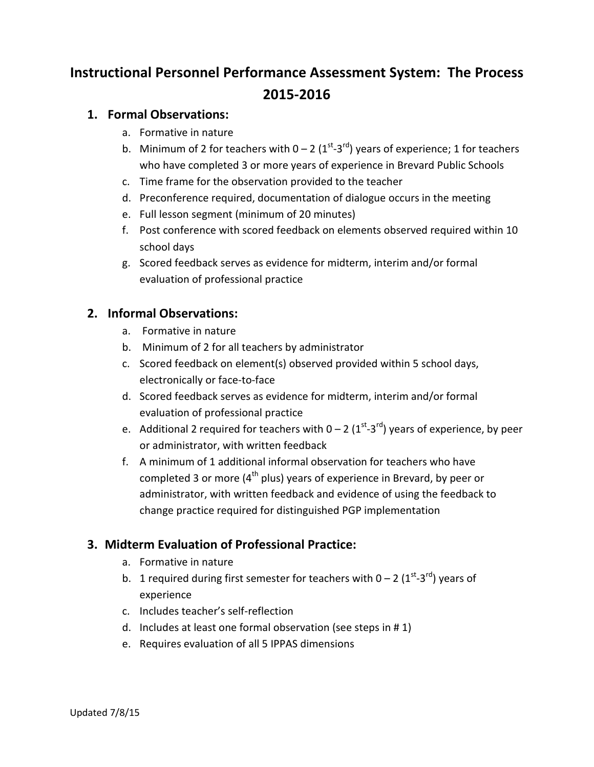# **Instructional Personnel Performance Assessment System: The Process 2015-2016**

## **1. Formal Observations:**

- a. Formative in nature
- b. Minimum of 2 for teachers with  $0 2$  (1<sup>st-3rd</sup>) years of experience; 1 for teachers who have completed 3 or more years of experience in Brevard Public Schools
- c. Time frame for the observation provided to the teacher
- d. Preconference required, documentation of dialogue occurs in the meeting
- e. Full lesson segment (minimum of 20 minutes)
- f. Post conference with scored feedback on elements observed required within 10 school days
- g. Scored feedback serves as evidence for midterm, interim and/or formal evaluation of professional practice

# **2. Informal Observations:**

- a. Formative in nature
- b. Minimum of 2 for all teachers by administrator
- c. Scored feedback on element(s) observed provided within 5 school days, electronically or face-to-face
- d. Scored feedback serves as evidence for midterm, interim and/or formal evaluation of professional practice
- e. Additional 2 required for teachers with  $0 2$  ( $1^{st}$ -3<sup>rd</sup>) years of experience, by peer or administrator, with written feedback
- f. A minimum of 1 additional informal observation for teachers who have completed 3 or more ( $4<sup>th</sup>$  plus) years of experience in Brevard, by peer or administrator, with written feedback and evidence of using the feedback to change practice required for distinguished PGP implementation

# **3. Midterm Evaluation of Professional Practice:**

- a. Formative in nature
- b. 1 required during first semester for teachers with  $0 2 \left(1^{st} 3^{rd}\right)$  years of experience
- c. Includes teacher's self-reflection
- d. Includes at least one formal observation (see steps in # 1)
- e. Requires evaluation of all 5 IPPAS dimensions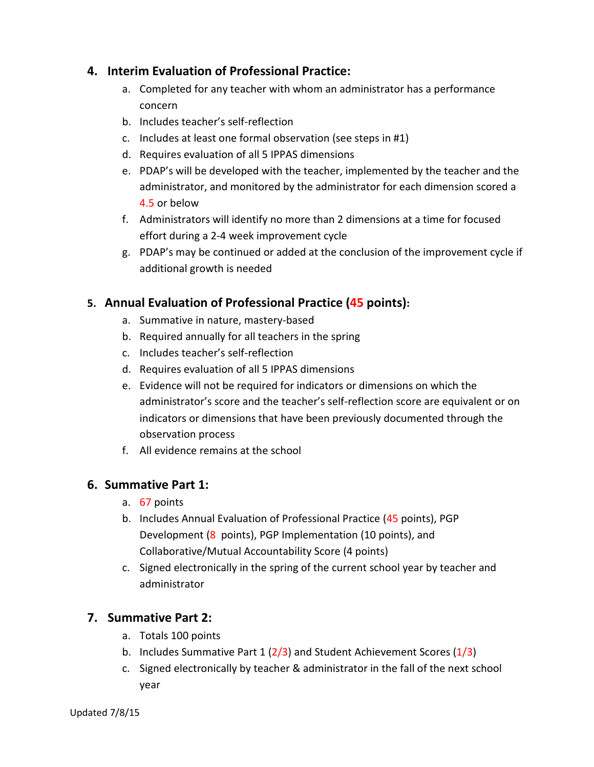## **4. Interim Evaluation of Professional Practice:**

- a. Completed for any teacher with whom an administrator has a performance concern
- b. Includes teacher's self-reflection
- c. Includes at least one formal observation (see steps in #1)
- d. Requires evaluation of all 5 IPPAS dimensions
- e. PDAP's will be developed with the teacher, implemented by the teacher and the administrator, and monitored by the administrator for each dimension scored a 4.5 or below
- f. Administrators will identify no more than 2 dimensions at a time for focused effort during a 2-4 week improvement cycle
- g. PDAP's may be continued or added at the conclusion of the improvement cycle if additional growth is needed

## **5. Annual Evaluation of Professional Practice (45 points):**

- a. Summative in nature, mastery-based
- b. Required annually for all teachers in the spring
- c. Includes teacher's self-reflection
- d. Requires evaluation of all 5 IPPAS dimensions
- e. Evidence will not be required for indicators or dimensions on which the administrator's score and the teacher's self-reflection score are equivalent or on indicators or dimensions that have been previously documented through the observation process
- f. All evidence remains at the school

## **6. Summative Part 1:**

- a. 67 points
- b. Includes Annual Evaluation of Professional Practice (45 points), PGP Development (8 points), PGP Implementation (10 points), and Collaborative/Mutual Accountability Score (4 points)
- c. Signed electronically in the spring of the current school year by teacher and administrator

# **7. Summative Part 2:**

- a. Totals 100 points
- b. Includes Summative Part 1  $(2/3)$  and Student Achievement Scores  $(1/3)$
- c. Signed electronically by teacher & administrator in the fall of the next school year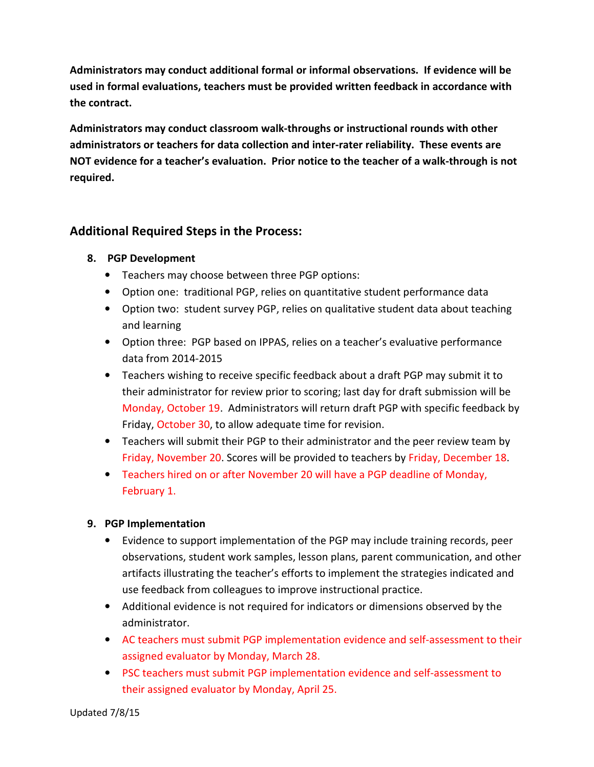**Administrators may conduct additional formal or informal observations. If evidence will be used in formal evaluations, teachers must be provided written feedback in accordance with the contract.** 

**Administrators may conduct classroom walk-throughs or instructional rounds with other administrators or teachers for data collection and inter-rater reliability. These events are NOT evidence for a teacher's evaluation. Prior notice to the teacher of a walk-through is not required.** 

## **Additional Required Steps in the Process:**

#### **8. PGP Development**

- Teachers may choose between three PGP options:
- Option one: traditional PGP, relies on quantitative student performance data
- Option two: student survey PGP, relies on qualitative student data about teaching and learning
- Option three: PGP based on IPPAS, relies on a teacher's evaluative performance data from 2014-2015
- Teachers wishing to receive specific feedback about a draft PGP may submit it to their administrator for review prior to scoring; last day for draft submission will be Monday, October 19. Administrators will return draft PGP with specific feedback by Friday, October 30, to allow adequate time for revision.
- Teachers will submit their PGP to their administrator and the peer review team by Friday, November 20. Scores will be provided to teachers by Friday, December 18.
- Teachers hired on or after November 20 will have a PGP deadline of Monday, February 1.

#### **9. PGP Implementation**

- Evidence to support implementation of the PGP may include training records, peer observations, student work samples, lesson plans, parent communication, and other artifacts illustrating the teacher's efforts to implement the strategies indicated and use feedback from colleagues to improve instructional practice.
- Additional evidence is not required for indicators or dimensions observed by the administrator.
- AC teachers must submit PGP implementation evidence and self-assessment to their assigned evaluator by Monday, March 28.
- PSC teachers must submit PGP implementation evidence and self-assessment to their assigned evaluator by Monday, April 25.